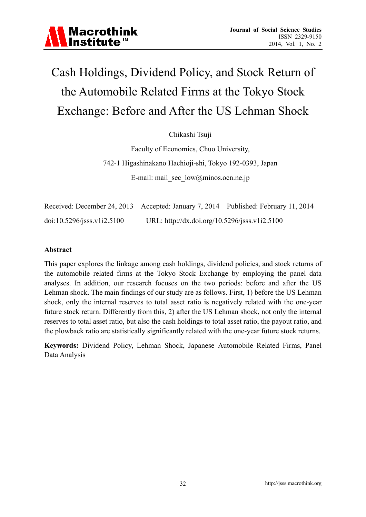

# Cash Holdings, Dividend Policy, and Stock Return of the Automobile Related Firms at the Tokyo Stock Exchange: Before and After the US Lehman Shock

Chikashi Tsuji

Faculty of Economics, Chuo University, 742-1 Higashinakano Hachioji-shi, Tokyo 192-0393, Japan E-mail: mail\_sec\_low@minos.ocn.ne.jp

| Received: December 24, 2013 Accepted: January 7, 2014 Published: February 11, 2014 |                                               |  |
|------------------------------------------------------------------------------------|-----------------------------------------------|--|
| $doi:10.5296/$ jsss.v1i2.5100                                                      | URL: http://dx.doi.org/10.5296/jsss.v1i2.5100 |  |

#### **Abstract**

This paper explores the linkage among cash holdings, dividend policies, and stock returns of the automobile related firms at the Tokyo Stock Exchange by employing the panel data analyses. In addition, our research focuses on the two periods: before and after the US Lehman shock. The main findings of our study are as follows. First, 1) before the US Lehman shock, only the internal reserves to total asset ratio is negatively related with the one-year future stock return. Differently from this, 2) after the US Lehman shock, not only the internal reserves to total asset ratio, but also the cash holdings to total asset ratio, the payout ratio, and the plowback ratio are statistically significantly related with the one-year future stock returns.

**Keywords:** Dividend Policy, Lehman Shock, Japanese Automobile Related Firms, Panel Data Analysis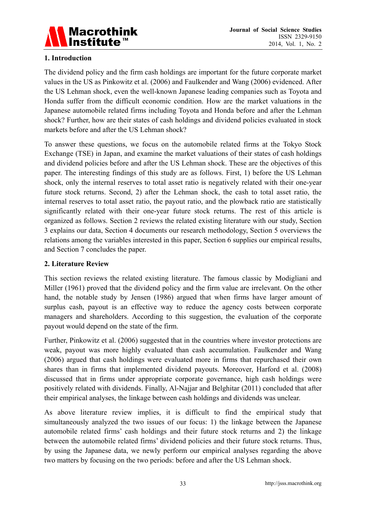

# **1. Introduction**

The dividend policy and the firm cash holdings are important for the future corporate market values in the US as Pinkowitz et al. (2006) and Faulkender and Wang (2006) evidenced. After the US Lehman shock, even the well-known Japanese leading companies such as Toyota and Honda suffer from the difficult economic condition. How are the market valuations in the Japanese automobile related firms including Toyota and Honda before and after the Lehman shock? Further, how are their states of cash holdings and dividend policies evaluated in stock markets before and after the US Lehman shock?

To answer these questions, we focus on the automobile related firms at the Tokyo Stock Exchange (TSE) in Japan, and examine the market valuations of their states of cash holdings and dividend policies before and after the US Lehman shock. These are the objectives of this paper. The interesting findings of this study are as follows. First, 1) before the US Lehman shock, only the internal reserves to total asset ratio is negatively related with their one-year future stock returns. Second, 2) after the Lehman shock, the cash to total asset ratio, the internal reserves to total asset ratio, the payout ratio, and the plowback ratio are statistically significantly related with their one-year future stock returns. The rest of this article is organized as follows. Section 2 reviews the related existing literature with our study, Section 3 explains our data, Section 4 documents our research methodology, Section 5 overviews the relations among the variables interested in this paper, Section 6 supplies our empirical results, and Section 7 concludes the paper.

## **2. Literature Review**

This section reviews the related existing literature. The famous classic by Modigliani and Miller (1961) proved that the dividend policy and the firm value are irrelevant. On the other hand, the notable study by Jensen (1986) argued that when firms have larger amount of surplus cash, payout is an effective way to reduce the agency costs between corporate managers and shareholders. According to this suggestion, the evaluation of the corporate payout would depend on the state of the firm.

Further, Pinkowitz et al. (2006) suggested that in the countries where investor protections are weak, payout was more highly evaluated than cash accumulation. Faulkender and Wang (2006) argued that cash holdings were evaluated more in firms that repurchased their own shares than in firms that implemented dividend payouts. Moreover, Harford et al. (2008) discussed that in firms under appropriate corporate governance, high cash holdings were positively related with dividends. Finally, Al-Najjar and Belghitar (2011) concluded that after their empirical analyses, the linkage between cash holdings and dividends was unclear.

As above literature review implies, it is difficult to find the empirical study that simultaneously analyzed the two issues of our focus: 1) the linkage between the Japanese automobile related firms' cash holdings and their future stock returns and 2) the linkage between the automobile related firms' dividend policies and their future stock returns. Thus, by using the Japanese data, we newly perform our empirical analyses regarding the above two matters by focusing on the two periods: before and after the US Lehman shock.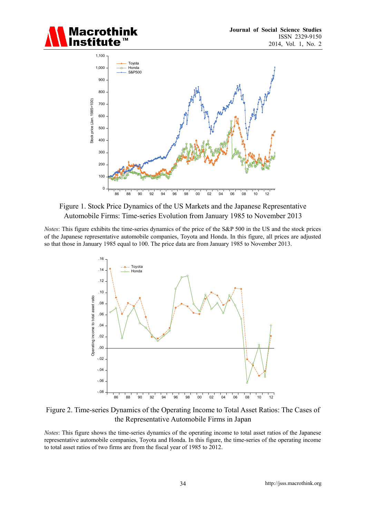



#### Figure 1. Stock Price Dynamics of the US Markets and the Japanese Representative Automobile Firms: Time-series Evolution from January 1985 to November 2013

*Notes*: This figure exhibits the time-series dynamics of the price of the S&P 500 in the US and the stock prices of the Japanese representative automobile companies, Toyota and Honda. In this figure, all prices are adjusted so that those in January 1985 equal to 100. The price data are from January 1985 to November 2013.



Figure 2. Time-series Dynamics of the Operating Income to Total Asset Ratios: The Cases of the Representative Automobile Firms in Japan

*Notes*: This figure shows the time-series dynamics of the operating income to total asset ratios of the Japanese representative automobile companies, Toyota and Honda. In this figure, the time-series of the operating income to total asset ratios of two firms are from the fiscal year of 1985 to 2012.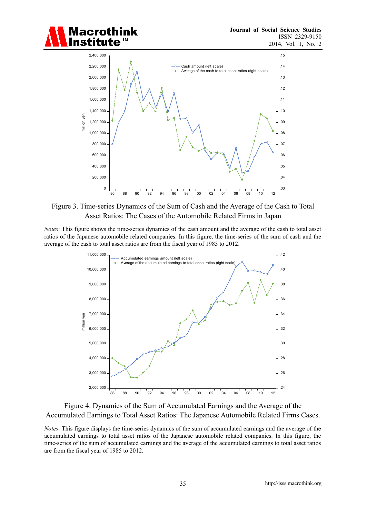



Figure 3. Time-series Dynamics of the Sum of Cash and the Average of the Cash to Total Asset Ratios: The Cases of the Automobile Related Firms in Japan

*Notes*: This figure shows the time-series dynamics of the cash amount and the average of the cash to total asset ratios of the Japanese automobile related companies. In this figure, the time-series of the sum of cash and the average of the cash to total asset ratios are from the fiscal year of 1985 to 2012.



Figure 4. Dynamics of the Sum of Accumulated Earnings and the Average of the Accumulated Earnings to Total Asset Ratios: The Japanese Automobile Related Firms Cases.

*Notes*: This figure displays the time-series dynamics of the sum of accumulated earnings and the average of the accumulated earnings to total asset ratios of the Japanese automobile related companies. In this figure, the time-series of the sum of accumulated earnings and the average of the accumulated earnings to total asset ratios are from the fiscal year of 1985 to 2012.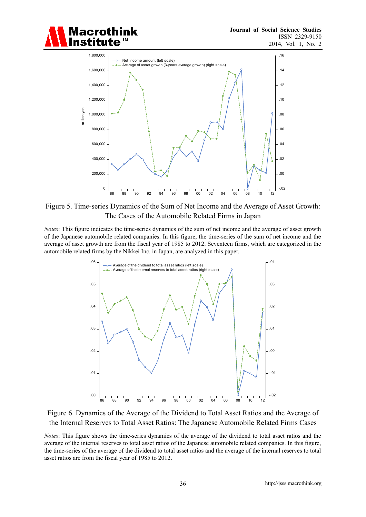



Figure 5. Time-series Dynamics of the Sum of Net Income and the Average of Asset Growth: The Cases of the Automobile Related Firms in Japan

*Notes*: This figure indicates the time-series dynamics of the sum of net income and the average of asset growth of the Japanese automobile related companies. In this figure, the time-series of the sum of net income and the average of asset growth are from the fiscal year of 1985 to 2012. Seventeen firms, which are categorized in the automobile related firms by the Nikkei Inc. in Japan, are analyzed in this paper.





*Notes*: This figure shows the time-series dynamics of the average of the dividend to total asset ratios and the average of the internal reserves to total asset ratios of the Japanese automobile related companies. In this figure, the time-series of the average of the dividend to total asset ratios and the average of the internal reserves to total asset ratios are from the fiscal year of 1985 to 2012.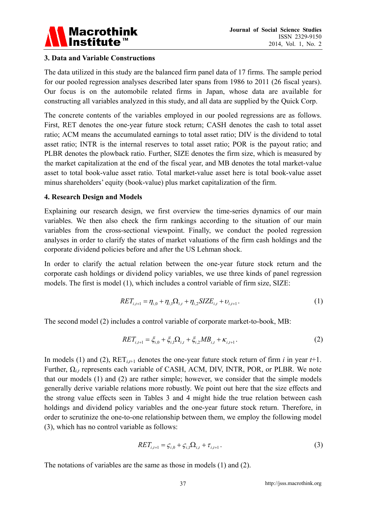

#### **3. Data and Variable Constructions**

The data utilized in this study are the balanced firm panel data of 17 firms. The sample period for our pooled regression analyses described later spans from 1986 to 2011 (26 fiscal years). Our focus is on the automobile related firms in Japan, whose data are available for constructing all variables analyzed in this study, and all data are supplied by the Quick Corp.

The concrete contents of the variables employed in our pooled regressions are as follows. First, RET denotes the one-year future stock return; CASH denotes the cash to total asset ratio; ACM means the accumulated earnings to total asset ratio; DIV is the dividend to total asset ratio; INTR is the internal reserves to total asset ratio; POR is the payout ratio; and PLBR denotes the plowback ratio. Further, SIZE denotes the firm size, which is measured by the market capitalization at the end of the fiscal year, and MB denotes the total market-value asset to total book-value asset ratio. Total market-value asset here is total book-value asset minus shareholders' equity (book-value) plus market capitalization of the firm.

#### **4. Research Design and Models**

Explaining our research design, we first overview the time-series dynamics of our main variables. We then also check the firm rankings according to the situation of our main variables from the cross-sectional viewpoint. Finally, we conduct the pooled regression analyses in order to clarify the states of market valuations of the firm cash holdings and the corporate dividend policies before and after the US Lehman shock.

In order to clarify the actual relation between the one-year future stock return and the corporate cash holdings or dividend policy variables, we use three kinds of panel regression models. The first is model (1), which includes a control variable of firm size, SIZE:

$$
RET_{i,t+1} = \eta_{i,0} + \eta_{i,1}\Omega_{i,t} + \eta_{i,2} SIZE_{i,t} + \nu_{i,t+1}.
$$
 (1)

The second model (2) includes a control variable of corporate market-to-book, MB:

$$
RET_{i,t+1} = \xi_{i,0} + \xi_{i,1}\Omega_{i,t} + \xi_{i,2}MB_{i,t} + \kappa_{i,t+1}.
$$
 (2)

In models (1) and (2),  $RET_{i,t+1}$  denotes the one-year future stock return of firm *i* in year  $t+1$ . Further, Ω*i*,*t* represents each variable of CASH, ACM, DIV, INTR, POR, or PLBR. We note that our models (1) and (2) are rather simple; however, we consider that the simple models generally derive variable relations more robustly. We point out here that the size effects and the strong value effects seen in Tables 3 and 4 might hide the true relation between cash holdings and dividend policy variables and the one-year future stock return. Therefore, in order to scrutinize the one-to-one relationship between them, we employ the following model (3), which has no control variable as follows:

$$
RET_{i,t+1} = \zeta_{i,0} + \zeta_{i,1}\Omega_{i,t} + \tau_{i,t+1}.
$$
 (3)

The notations of variables are the same as those in models (1) and (2).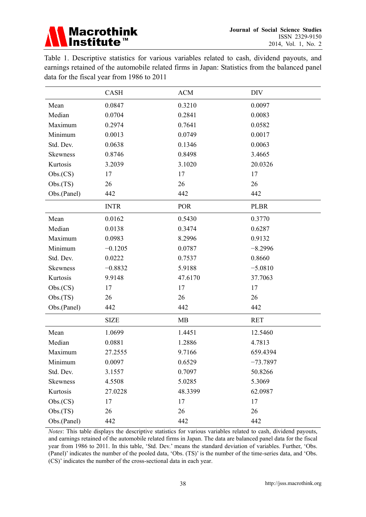

Table 1. Descriptive statistics for various variables related to cash, dividend payouts, and earnings retained of the automobile related firms in Japan: Statistics from the balanced panel data for the fiscal year from 1986 to 2011

|                 | CASH        | <b>ACM</b> | <b>DIV</b>  |
|-----------------|-------------|------------|-------------|
| Mean            | 0.0847      | 0.3210     | 0.0097      |
| Median          | 0.0704      | 0.2841     | 0.0083      |
| Maximum         | 0.2974      | 0.7641     | 0.0582      |
| Minimum         | 0.0013      | 0.0749     | 0.0017      |
| Std. Dev.       | 0.0638      | 0.1346     | 0.0063      |
| <b>Skewness</b> | 0.8746      | 0.8498     | 3.4665      |
| Kurtosis        | 3.2039      | 3.1020     | 20.0326     |
| Obs(CS)         | 17          | 17         | 17          |
| Obs(TS)         | 26          | 26         | 26          |
| Obs.(Panel)     | 442         | 442        | 442         |
|                 | <b>INTR</b> | <b>POR</b> | <b>PLBR</b> |
| Mean            | 0.0162      | 0.5430     | 0.3770      |
| Median          | 0.0138      | 0.3474     | 0.6287      |
| Maximum         | 0.0983      | 8.2996     | 0.9132      |
| Minimum         | $-0.1205$   | 0.0787     | $-8.2996$   |
| Std. Dev.       | 0.0222      | 0.7537     | 0.8660      |
| <b>Skewness</b> | $-0.8832$   | 5.9188     | $-5.0810$   |
| Kurtosis        | 9.9148      | 47.6170    | 37.7063     |
| Obs(CS)         | 17          | 17         | 17          |
| Obs(TS)         | 26          | 26         | 26          |
| Obs.(Panel)     | 442         | 442        | 442         |
|                 | <b>SIZE</b> | MB         | <b>RET</b>  |
| Mean            | 1.0699      | 1.4451     | 12.5460     |
| Median          | 0.0881      | 1.2886     | 4.7813      |
| Maximum         | 27.2555     | 9.7166     | 659.4394    |
| Minimum         | 0.0097      | 0.6529     | $-73.7897$  |
| Std. Dev.       | 3.1557      | 0.7097     | 50.8266     |
| Skewness        | 4.5508      | 5.0285     | 5.3069      |
| Kurtosis        | 27.0228     | 48.3399    | 62.0987     |
| Obs(CS)         | 17          | 17         | 17          |
| Obs(TS)         | 26          | 26         | 26          |
| Obs.(Panel)     | 442         | 442        | 442         |

*Notes*: This table displays the descriptive statistics for various variables related to cash, dividend payouts, and earnings retained of the automobile related firms in Japan. The data are balanced panel data for the fiscal year from 1986 to 2011. In this table, 'Std. Dev.' means the standard deviation of variables. Further, 'Obs. (Panel)' indicates the number of the pooled data, 'Obs. (TS)' is the number of the time-series data, and 'Obs. (CS)' indicates the number of the cross-sectional data in each year.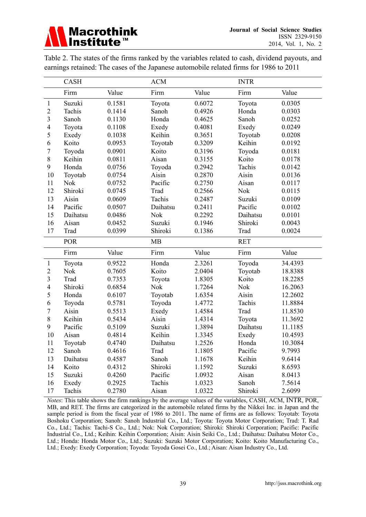Table 2. The states of the firms ranked by the variables related to cash, dividend payouts, and earnings retained: The cases of the Japanese automobile related firms for 1986 to 2011

|                         | <b>CASH</b>     |                  | <b>ACM</b>      |                  | <b>INTR</b>      |                  |
|-------------------------|-----------------|------------------|-----------------|------------------|------------------|------------------|
|                         | Firm            | Value            | Firm            | Value            | Firm             | Value            |
| $\mathbf{1}$            | Suzuki          | 0.1581           | Toyota          | 0.6072           | Toyota           | 0.0305           |
| $\overline{2}$          | Tachis          | 0.1414           | Sanoh           | 0.4926           | Honda            | 0.0303           |
| $\overline{\mathbf{3}}$ | Sanoh           | 0.1130           | Honda           | 0.4625           | Sanoh            | 0.0252           |
| $\overline{4}$          | Toyota          | 0.1108           | Exedy           | 0.4081           | Exedy            | 0.0249           |
| 5                       | Exedy           | 0.1038           | Keihin          | 0.3651           | Toyotab          | 0.0208           |
| 6                       | Koito           | 0.0953           | Toyotab         | 0.3209           | Keihin           | 0.0192           |
| $\overline{7}$          | Toyoda          | 0.0901           | Koito           | 0.3196           | Toyoda           | 0.0181           |
| 8                       | Keihin          | 0.0811           | Aisan           | 0.3155           | Koito            | 0.0178           |
| 9                       | Honda           | 0.0756           | Toyoda          | 0.2942           | Tachis           | 0.0142           |
| 10                      | Toyotab         | 0.0754           | Aisin           | 0.2870           | Aisin            | 0.0136           |
| 11                      | <b>Nok</b>      | 0.0752           | Pacific         | 0.2750           | Aisan            | 0.0117           |
| 12                      | Shiroki         | 0.0745           | Trad            | 0.2566           | Nok              | 0.0115           |
| 13                      | Aisin           | 0.0609           | Tachis          | 0.2487           | Suzuki           | 0.0109           |
| 14                      | Pacific         | 0.0507           | Daihatsu        | 0.2411           | Pacific          | 0.0102           |
| 15                      | Daihatsu        | 0.0486           | <b>Nok</b>      | 0.2292           | Daihatsu         | 0.0101           |
| 16                      | Aisan           | 0.0452           | Suzuki          | 0.1946           | Shiroki          | 0.0043           |
| 17                      | Trad            | 0.0399           | Shiroki         | 0.1386           | Trad             | 0.0024           |
|                         |                 |                  |                 |                  |                  |                  |
|                         | <b>POR</b>      |                  | MB              |                  | <b>RET</b>       |                  |
|                         | Firm            | Value            | Firm            | Value            | Firm             | Value            |
| $\mathbf{1}$            | Toyota          | 0.9522           | Honda           | 2.3261           | Toyoda           | 34.4393          |
| $\overline{2}$          | <b>Nok</b>      | 0.7605           | Koito           | 2.0404           | Toyotab          | 18.8388          |
| $\overline{\mathbf{3}}$ | Trad            | 0.7353           | Toyota          | 1.8305           | Koito            | 18.2285          |
| $\overline{4}$          | Shiroki         | 0.6854           | <b>Nok</b>      | 1.7264           | <b>Nok</b>       | 16.2063          |
| 5                       | Honda           | 0.6107           | Toyotab         | 1.6354           | Aisin            | 12.2602          |
| 6                       | Toyoda          | 0.5781           | Toyoda          | 1.4772           | Tachis           | 11.8884          |
| $\overline{7}$          | Aisin           | 0.5513           | Exedy           | 1.4584           | Trad             | 11.8530          |
| 8                       | Keihin          | 0.5434           | Aisin           | 1.4314           | Toyota           | 11.3692          |
| 9                       | Pacific         | 0.5109           | Suzuki          | 1.3894           | Daihatsu         | 11.1185          |
| 10                      | Aisan           | 0.4814           | Keihin          | 1.3345           | Exedy            | 10.4593          |
| 11                      | Toyotab         | 0.4740           | Daihatsu        | 1.2526           | Honda            | 10.3084          |
| 12                      | Sanoh           | 0.4616           | Trad            | 1.1805           | Pacific          | 9.7993           |
| 13                      | Daihatsu        | 0.4587           | Sanoh           | 1.1678           | Keihin           | 9.6414           |
| 14                      | Koito           | 0.4312           | Shiroki         | 1.1592           | Suzuki           | 8.6593           |
| 15                      | Suzuki          | 0.4260           | Pacific         | 1.0932           | Aisan            | 8.0413           |
| 16<br>17                | Exedy<br>Tachis | 0.2925<br>0.2780 | Tachis<br>Aisan | 1.0323<br>1.0322 | Sanoh<br>Shiroki | 7.5614<br>2.6099 |

*Notes*: This table shows the firm rankings by the average values of the variables, CASH, ACM, INTR, POR, MB, and RET. The firms are categorized in the automobile related firms by the Nikkei Inc. in Japan and the sample period is from the fiscal year of 1986 to 2011. The name of firms are as follows: Toyotab: Toyota Boshoku Corporation; Sanoh: Sanoh Industrial Co., Ltd.; Toyota: Toyota Motor Corporation; Trad: T. Rad Co., Ltd.; Tachis: Tachi-S Co., Ltd.; Nok: Nok Corporation; Shiroki: Shiroki Corporation; Pacific: Pacific Industrial Co., Ltd.; Keihin: Keihin Corporation; Aisin: Aisin Seiki Co., Ltd.; Daihatsu: Daihatsu Motor Co., Ltd.; Honda: Honda Motor Co., Ltd.; Suzuki: Suzuki Motor Corporation; Koito: Koito Manufacturing Co., Ltd.; Exedy: Exedy Corporation; Toyoda: Toyoda Gosei Co., Ltd.; Aisan: Aisan Industry Co., Ltd.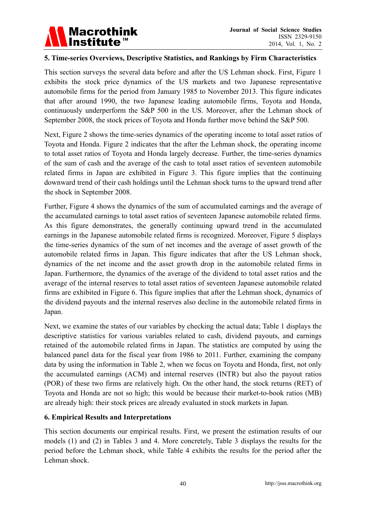

# **5. Time-series Overviews, Descriptive Statistics, and Rankings by Firm Characteristics**

This section surveys the several data before and after the US Lehman shock. First, Figure 1 exhibits the stock price dynamics of the US markets and two Japanese representative automobile firms for the period from January 1985 to November 2013. This figure indicates that after around 1990, the two Japanese leading automobile firms, Toyota and Honda, continuously underperform the S&P 500 in the US. Moreover, after the Lehman shock of September 2008, the stock prices of Toyota and Honda further move behind the S&P 500.

Next, Figure 2 shows the time-series dynamics of the operating income to total asset ratios of Toyota and Honda. Figure 2 indicates that the after the Lehman shock, the operating income to total asset ratios of Toyota and Honda largely decrease. Further, the time-series dynamics of the sum of cash and the average of the cash to total asset ratios of seventeen automobile related firms in Japan are exhibited in Figure 3. This figure implies that the continuing downward trend of their cash holdings until the Lehman shock turns to the upward trend after the shock in September 2008.

Further, Figure 4 shows the dynamics of the sum of accumulated earnings and the average of the accumulated earnings to total asset ratios of seventeen Japanese automobile related firms. As this figure demonstrates, the generally continuing upward trend in the accumulated earnings in the Japanese automobile related firms is recognized. Moreover, Figure 5 displays the time-series dynamics of the sum of net incomes and the average of asset growth of the automobile related firms in Japan. This figure indicates that after the US Lehman shock, dynamics of the net income and the asset growth drop in the automobile related firms in Japan. Furthermore, the dynamics of the average of the dividend to total asset ratios and the average of the internal reserves to total asset ratios of seventeen Japanese automobile related firms are exhibited in Figure 6. This figure implies that after the Lehman shock, dynamics of the dividend payouts and the internal reserves also decline in the automobile related firms in Japan.

Next, we examine the states of our variables by checking the actual data; Table 1 displays the descriptive statistics for various variables related to cash, dividend payouts, and earnings retained of the automobile related firms in Japan. The statistics are computed by using the balanced panel data for the fiscal year from 1986 to 2011. Further, examining the company data by using the information in Table 2, when we focus on Toyota and Honda, first, not only the accumulated earnings (ACM) and internal reserves (INTR) but also the payout ratios (POR) of these two firms are relatively high. On the other hand, the stock returns (RET) of Toyota and Honda are not so high; this would be because their market-to-book ratios (MB) are already high: their stock prices are already evaluated in stock markets in Japan.

## **6. Empirical Results and Interpretations**

This section documents our empirical results. First, we present the estimation results of our models (1) and (2) in Tables 3 and 4. More concretely, Table 3 displays the results for the period before the Lehman shock, while Table 4 exhibits the results for the period after the Lehman shock.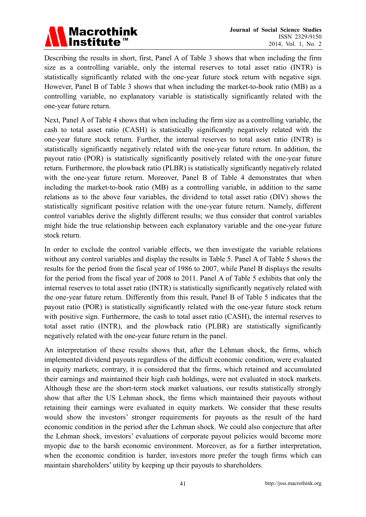

Describing the results in short, first, Panel A of Table 3 shows that when including the firm size as a controlling variable, only the internal reserves to total asset ratio (INTR) is statistically significantly related with the one-year future stock return with negative sign. However, Panel B of Table 3 shows that when including the market-to-book ratio (MB) as a controlling variable, no explanatory variable is statistically significantly related with the one-year future return.

Next, Panel A of Table 4 shows that when including the firm size as a controlling variable, the cash to total asset ratio (CASH) is statistically significantly negatively related with the one-year future stock return. Further, the internal reserves to total asset ratio (INTR) is statistically significantly negatively related with the one-year future return. In addition, the payout ratio (POR) is statistically significantly positively related with the one-year future return. Furthermore, the plowback ratio (PLBR) is statistically significantly negatively related with the one-year future return. Moreover, Panel B of Table 4 demonstrates that when including the market-to-book ratio (MB) as a controlling variable, in addition to the same relations as to the above four variables, the dividend to total asset ratio (DIV) shows the statistically significant positive relation with the one-year future return. Namely, different control variables derive the slightly different results; we thus consider that control variables might hide the true relationship between each explanatory variable and the one-year future stock return.

In order to exclude the control variable effects, we then investigate the variable relations without any control variables and display the results in Table 5. Panel A of Table 5 shows the results for the period from the fiscal year of 1986 to 2007, while Panel B displays the results for the period from the fiscal year of 2008 to 2011. Panel A of Table 5 exhibits that only the internal reserves to total asset ratio (INTR) is statistically significantly negatively related with the one-year future return. Differently from this result, Panel B of Table 5 indicates that the payout ratio (POR) is statistically significantly related with the one-year future stock return with positive sign. Furthermore, the cash to total asset ratio (CASH), the internal reserves to total asset ratio (INTR), and the plowback ratio (PLBR) are statistically significantly negatively related with the one-year future return in the panel.

An interpretation of these results shows that, after the Lehman shock, the firms, which implemented dividend payouts regardless of the difficult economic condition, were evaluated in equity markets; contrary, it is considered that the firms, which retained and accumulated their earnings and maintained their high cash holdings, were not evaluated in stock markets. Although these are the short-term stock market valuations, our results statistically strongly show that after the US Lehman shock, the firms which maintained their payouts without retaining their earnings were evaluated in equity markets. We consider that these results would show the investors' stronger requirements for payouts as the result of the hard economic condition in the period after the Lehman shock. We could also conjecture that after the Lehman shock, investors' evaluations of corporate payout policies would become more myopic due to the harsh economic environment. Moreover, as for a further interpretation, when the economic condition is harder, investors more prefer the tough firms which can maintain shareholders' utility by keeping up their payouts to shareholders.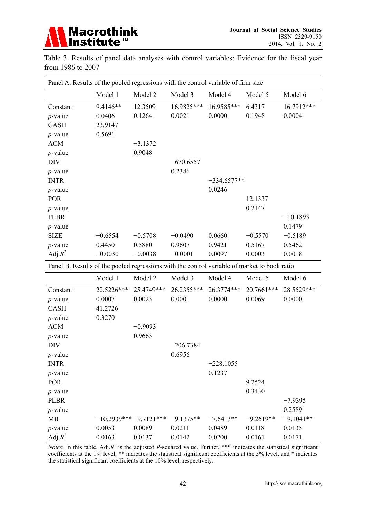

Table 3. Results of panel data analyses with control variables: Evidence for the fiscal year from 1986 to 2007

| Panel A. Results of the pooled regressions with the control variable of firm size            |            |            |             |               |            |            |  |
|----------------------------------------------------------------------------------------------|------------|------------|-------------|---------------|------------|------------|--|
|                                                                                              | Model 1    | Model 2    | Model 3     | Model 4       | Model 5    | Model 6    |  |
| Constant                                                                                     | 9.4146**   | 12.3509    | 16.9825***  | 16.9585***    | 6.4317     | 16.7912*** |  |
| $p$ -value                                                                                   | 0.0406     | 0.1264     | 0.0021      | 0.0000        | 0.1948     | 0.0004     |  |
| <b>CASH</b>                                                                                  | 23.9147    |            |             |               |            |            |  |
| $p$ -value                                                                                   | 0.5691     |            |             |               |            |            |  |
| <b>ACM</b>                                                                                   |            | $-3.1372$  |             |               |            |            |  |
| $p$ -value                                                                                   |            | 0.9048     |             |               |            |            |  |
| <b>DIV</b>                                                                                   |            |            | $-670.6557$ |               |            |            |  |
| $p$ -value                                                                                   |            |            | 0.2386      |               |            |            |  |
| <b>INTR</b>                                                                                  |            |            |             | $-334.6577**$ |            |            |  |
| $p$ -value                                                                                   |            |            |             | 0.0246        |            |            |  |
| <b>POR</b>                                                                                   |            |            |             |               | 12.1337    |            |  |
| $p$ -value                                                                                   |            |            |             |               | 0.2147     |            |  |
| <b>PLBR</b>                                                                                  |            |            |             |               |            | $-10.1893$ |  |
| $p$ -value                                                                                   |            |            |             |               |            | 0.1479     |  |
| <b>SIZE</b>                                                                                  | $-0.6554$  | $-0.5708$  | $-0.0490$   | 0.0660        | $-0.5570$  | $-0.5189$  |  |
| $p$ -value                                                                                   | 0.4450     | 0.5880     | 0.9607      | 0.9421        | 0.5167     | 0.5462     |  |
| Adj. $R^2$                                                                                   | $-0.0030$  | $-0.0038$  | $-0.0001$   | 0.0097        | 0.0003     | 0.0018     |  |
| Panel B. Results of the pooled regressions with the control variable of market to book ratio |            |            |             |               |            |            |  |
|                                                                                              | Model 1    | Model 2    | Model 3     | Model 4       | Model 5    | Model 6    |  |
| Constant                                                                                     | 22.5226*** | 25.4749*** | 26.2355***  | 26.3774***    | 20.7661*** | 28.5529*** |  |
| $p$ -value                                                                                   | 0.0007     | 0.0023     | 0.0001      | 0.0000        | 0.0069     | 0.0000     |  |
| <b>CASH</b>                                                                                  | 41.2726    |            |             |               |            |            |  |
| $p$ -value                                                                                   | 0.3270     |            |             |               |            |            |  |
| <b>ACM</b>                                                                                   |            | $-0.9093$  |             |               |            |            |  |
| $p$ -value                                                                                   |            | 0.9663     |             |               |            |            |  |
| <b>DIV</b>                                                                                   |            |            | $-206.7384$ |               |            |            |  |
| $p$ -value                                                                                   |            |            | 0.6956      |               |            |            |  |
| <b>INTR</b>                                                                                  |            |            |             | $-228.1055$   |            |            |  |
| $p$ -value                                                                                   |            |            |             | 0.1237        |            |            |  |

| <b>POR</b>  |        |                                           |        |        | 9.2524      |            |
|-------------|--------|-------------------------------------------|--------|--------|-------------|------------|
| $p$ -value  |        |                                           |        |        | 0.3430      |            |
| <b>PLBR</b> |        |                                           |        |        |             | $-7.9395$  |
| $p$ -value  |        |                                           |        |        |             | 0.2589     |
| MB          |        | $-10.2939***-9.7121***-9.1375**-7.6413**$ |        |        | $-9.2619**$ | $-91041**$ |
| $p$ -value  | 0.0053 | 0.0089                                    | 0.0211 | 0.0489 | 0.0118      | 0.0135     |
| Adj. $R^2$  | 0.0163 | 0.0137                                    | 0.0142 | 0.0200 | 0.0161      | 0.0171     |

*Notes*: In this table, Adj. $R^2$  is the adjusted R-squared value. Further, \*\*\* indicates the statistical significant coefficients at the 1% level, \*\* indicates the statistical significant coefficients at the 5% level, and \* indicates the statistical significant coefficients at the 10% level, respectively.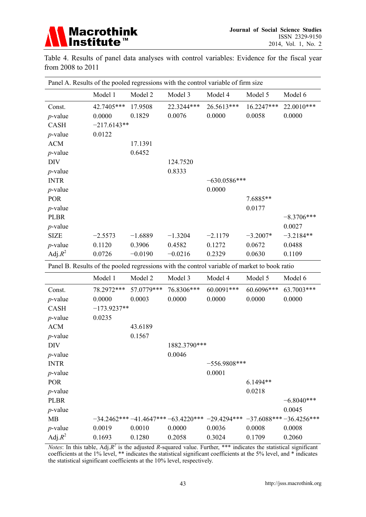

Table 4. Results of panel data analyses with control variables: Evidence for the fiscal year from 2008 to 2011

| Panel A. Results of the pooled regressions with the control variable of firm size            |            |                       |            |                |            |              |  |  |  |
|----------------------------------------------------------------------------------------------|------------|-----------------------|------------|----------------|------------|--------------|--|--|--|
|                                                                                              | Model 1    | Model 2               | Model 3    | Model 4        | Model 5    | Model 6      |  |  |  |
| Const.                                                                                       | 42.7405*** | 17.9508               | 22.3244*** | 26.5613***     | 16.2247*** | 22.0010***   |  |  |  |
| $p$ -value                                                                                   | 0.0000     | 0.1829                | 0.0076     | 0.0000         | 0.0058     | 0.0000       |  |  |  |
| <b>CASH</b>                                                                                  |            | $-217.6143**$         |            |                |            |              |  |  |  |
| $p$ -value                                                                                   | 0.0122     |                       |            |                |            |              |  |  |  |
| <b>ACM</b>                                                                                   |            | 17.1391               |            |                |            |              |  |  |  |
| $p$ -value                                                                                   |            | 0.6452                |            |                |            |              |  |  |  |
| <b>DIV</b>                                                                                   |            |                       | 124.7520   |                |            |              |  |  |  |
| $p$ -value                                                                                   |            |                       | 0.8333     |                |            |              |  |  |  |
| <b>INTR</b>                                                                                  |            |                       |            | $-630.0586***$ |            |              |  |  |  |
| $p$ -value                                                                                   |            |                       |            | 0.0000         |            |              |  |  |  |
| <b>POR</b>                                                                                   |            |                       |            |                | 7.6885**   |              |  |  |  |
| $p$ -value                                                                                   |            |                       |            |                | 0.0177     |              |  |  |  |
| <b>PLBR</b>                                                                                  |            |                       |            |                |            | $-8.3706***$ |  |  |  |
| $p$ -value                                                                                   |            |                       |            |                |            | 0.0027       |  |  |  |
| <b>SIZE</b>                                                                                  | $-2.5573$  | $-1.6889$             | $-1.3204$  | $-2.1179$      | $-3.2007*$ | $-3.2184**$  |  |  |  |
| $p$ -value                                                                                   | 0.1120     | 0.3906                | 0.4582     | 0.1272         | 0.0672     | 0.0488       |  |  |  |
| Adj. $R^2$                                                                                   | 0.0726     | $-0.0190$             | $-0.0216$  | 0.2329         | 0.0630     | 0.1109       |  |  |  |
| Panel B. Results of the pooled regressions with the control variable of market to book ratio |            |                       |            |                |            |              |  |  |  |
|                                                                                              | Model 1    | Model 2               | Model 3    | Model 4        | Model 5    | Model 6      |  |  |  |
| Const.                                                                                       |            | 78.2972*** 57.0779*** | 76.8306*** | 60.0091***     | 60.6096*** | 63.7003***   |  |  |  |
|                                                                                              |            |                       |            |                |            |              |  |  |  |

| Const.          | 78.2972***    | 57.0779*** | 76.8306***   | 60.0091***                                                           | 60.6096*** | 63.7003***   |
|-----------------|---------------|------------|--------------|----------------------------------------------------------------------|------------|--------------|
| $p$ -value      | 0.0000        | 0.0003     | 0.0000       | 0.0000                                                               | 0.0000     | 0.0000       |
| <b>CASH</b>     | $-173.9237**$ |            |              |                                                                      |            |              |
| $p$ -value      | 0.0235        |            |              |                                                                      |            |              |
| <b>ACM</b>      |               | 43.6189    |              |                                                                      |            |              |
| $p$ -value      |               | 0.1567     |              |                                                                      |            |              |
| DIV             |               |            | 1882.3790*** |                                                                      |            |              |
| $p$ -value      |               |            | 0.0046       |                                                                      |            |              |
| <b>INTR</b>     |               |            |              | $-556.9808***$                                                       |            |              |
| <i>p</i> -value |               |            |              | 0.0001                                                               |            |              |
| <b>POR</b>      |               |            |              |                                                                      | $6.1494**$ |              |
| $p$ -value      |               |            |              |                                                                      | 0.0218     |              |
| <b>PLBR</b>     |               |            |              |                                                                      |            | $-6.8040***$ |
| <i>p</i> -value |               |            |              |                                                                      |            | 0.0045       |
| <b>MB</b>       |               |            |              | $-34.2462***-41.4647***-63.4220***-29.4294***-37.6088***-36.4256***$ |            |              |
| $p$ -value      | 0.0019        | 0.0010     | 0.0000       | 0.0036                                                               | 0.0008     | 0.0008       |
| Adj. $R^2$      | 0.1693        | 0.1280     | 0.2058       | 0.3024                                                               | 0.1709     | 0.2060       |

*Notes*: In this table, Adj. $R^2$  is the adjusted R-squared value. Further, \*\*\* indicates the statistical significant coefficients at the 1% level, \*\* indicates the statistical significant coefficients at the 5% level, and \* indicates the statistical significant coefficients at the 10% level, respectively.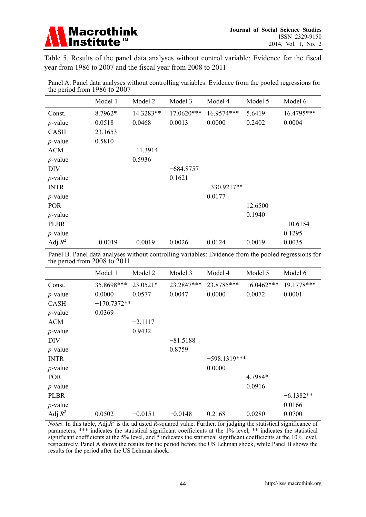

Table 5. Results of the panel data analyses without control variable: Evidence for the fiscal year from 1986 to 2007 and the fiscal year from 2008 to 2011

| the period from $1986$ to $200/$ |           |            |             |               |         |            |  |
|----------------------------------|-----------|------------|-------------|---------------|---------|------------|--|
|                                  | Model 1   | Model 2    | Model 3     | Model 4       | Model 5 | Model 6    |  |
| Const.                           | 8.7962*   | 14.3283**  | 17.0620***  | 16.9574***    | 5.6419  | 16.4795*** |  |
| $p$ -value                       | 0.0518    | 0.0468     | 0.0013      | 0.0000        | 0.2402  | 0.0004     |  |
| CASH                             | 23.1653   |            |             |               |         |            |  |
| $p$ -value                       | 0.5810    |            |             |               |         |            |  |
| <b>ACM</b>                       |           | $-11.3914$ |             |               |         |            |  |
| $p$ -value                       |           | 0.5936     |             |               |         |            |  |
| <b>DIV</b>                       |           |            | $-684.8757$ |               |         |            |  |
| $p$ -value                       |           |            | 0.1621      |               |         |            |  |
| <b>INTR</b>                      |           |            |             | $-330.9217**$ |         |            |  |
| $p$ -value                       |           |            |             | 0.0177        |         |            |  |
| <b>POR</b>                       |           |            |             |               | 12.6500 |            |  |
| $p$ -value                       |           |            |             |               | 0.1940  |            |  |
| <b>PLBR</b>                      |           |            |             |               |         | $-10.6154$ |  |
| $p$ -value                       |           |            |             |               |         | 0.1295     |  |
| Adj. $R^2$                       | $-0.0019$ | $-0.0019$  | 0.0026      | 0.0124        | 0.0019  | 0.0035     |  |

Panel A. Panel data analyses without controlling variables: Evidence from the pooled regressions for the period from 1986 to 2007

Panel B. Panel data analyses without controlling variables: Evidence from the pooled regressions for the period from 2008 to 2011

|             | Model 1       | Model 2   | Model 3    | Model 4        | Model 5    | Model 6     |
|-------------|---------------|-----------|------------|----------------|------------|-------------|
| Const.      | 35.8698***    | 23.0521*  | 23.2847*** | 23.8785***     | 16.0462*** | 19.1778***  |
| $p$ -value  | 0.0000        | 0.0577    | 0.0047     | 0.0000         | 0.0072     | 0.0001      |
| <b>CASH</b> | $-170.7372**$ |           |            |                |            |             |
| $p$ -value  | 0.0369        |           |            |                |            |             |
| <b>ACM</b>  |               | $-2.1117$ |            |                |            |             |
| $p$ -value  |               | 0.9432    |            |                |            |             |
| <b>DIV</b>  |               |           | $-81.5188$ |                |            |             |
| $p$ -value  |               |           | 0.8759     |                |            |             |
| <b>INTR</b> |               |           |            | $-598.1319***$ |            |             |
| $p$ -value  |               |           |            | 0.0000         |            |             |
| <b>POR</b>  |               |           |            |                | 4.7984*    |             |
| $p$ -value  |               |           |            |                | 0.0916     |             |
| <b>PLBR</b> |               |           |            |                |            | $-6.1382**$ |
| $p$ -value  |               |           |            |                |            | 0.0166      |
| Adj. $R^2$  | 0.0502        | $-0.0151$ | $-0.0148$  | 0.2168         | 0.0280     | 0.0700      |

*Notes*: In this table, Adj. $R^2$  is the adjusted R-squared value. Further, for judging the statistical significance of parameters, \*\*\* indicates the statistical significant coefficients at the 1% level, \*\* indicates the statistical significant coefficients at the 5% level, and  $*$  indicates the statistical significant coefficients at the 10% level, respectively. Panel A shows the results for the period before the US Lehman shock, while Panel B shows the results for the period after the US Lehman shock.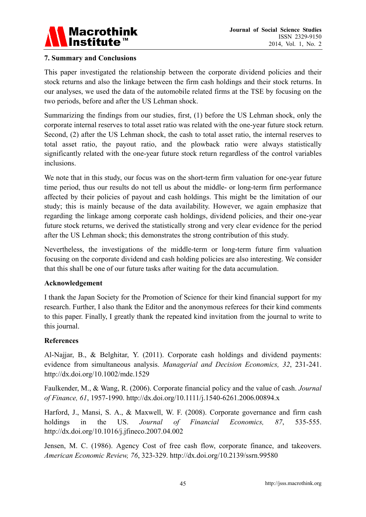

## **7. Summary and Conclusions**

This paper investigated the relationship between the corporate dividend policies and their stock returns and also the linkage between the firm cash holdings and their stock returns. In our analyses, we used the data of the automobile related firms at the TSE by focusing on the two periods, before and after the US Lehman shock.

Summarizing the findings from our studies, first, (1) before the US Lehman shock, only the corporate internal reserves to total asset ratio was related with the one-year future stock return. Second, (2) after the US Lehman shock, the cash to total asset ratio, the internal reserves to total asset ratio, the payout ratio, and the plowback ratio were always statistically significantly related with the one-year future stock return regardless of the control variables inclusions.

We note that in this study, our focus was on the short-term firm valuation for one-year future time period, thus our results do not tell us about the middle- or long-term firm performance affected by their policies of payout and cash holdings. This might be the limitation of our study; this is mainly because of the data availability. However, we again emphasize that regarding the linkage among corporate cash holdings, dividend policies, and their one-year future stock returns, we derived the statistically strong and very clear evidence for the period after the US Lehman shock; this demonstrates the strong contribution of this study.

Nevertheless, the investigations of the middle-term or long-term future firm valuation focusing on the corporate dividend and cash holding policies are also interesting. We consider that this shall be one of our future tasks after waiting for the data accumulation.

#### **Acknowledgement**

I thank the Japan Society for the Promotion of Science for their kind financial support for my research. Further, I also thank the Editor and the anonymous referees for their kind comments to this paper. Finally, I greatly thank the repeated kind invitation from the journal to write to this journal.

## **References**

Al-Najjar, B., & Belghitar, Y. (2011). Corporate cash holdings and dividend payments: evidence from simultaneous analysis. *Managerial and Decision Economics, 32*, 231-241. http://dx.doi.org/10.1002/mde.1529

Faulkender, M., & Wang, R. (2006). Corporate financial policy and the value of cash. *Journal of Finance, 61*, 1957-1990. http://dx.doi.org/10.1111/j.1540-6261.2006.00894.x

Harford, J., Mansi, S. A., & Maxwell, W. F. (2008). Corporate governance and firm cash holdings in the US. *Journal of Financial Economics, 87*, 535-555. http://dx.doi.org/10.1016/j.jfineco.2007.04.002

Jensen, M. C. (1986). Agency Cost of free cash flow, corporate finance, and takeovers. *American Economic Review, 76*, 323-329. http://dx.doi.org/10.2139/ssrn.99580